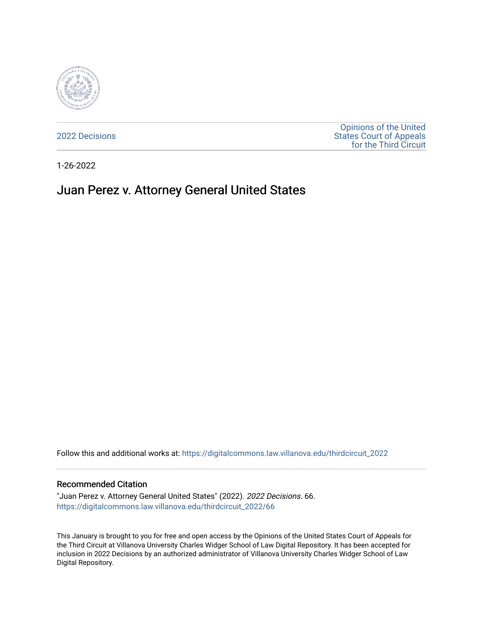

[2022 Decisions](https://digitalcommons.law.villanova.edu/thirdcircuit_2022)

[Opinions of the United](https://digitalcommons.law.villanova.edu/thirdcircuit)  [States Court of Appeals](https://digitalcommons.law.villanova.edu/thirdcircuit)  [for the Third Circuit](https://digitalcommons.law.villanova.edu/thirdcircuit) 

1-26-2022

# Juan Perez v. Attorney General United States

Follow this and additional works at: [https://digitalcommons.law.villanova.edu/thirdcircuit\\_2022](https://digitalcommons.law.villanova.edu/thirdcircuit_2022?utm_source=digitalcommons.law.villanova.edu%2Fthirdcircuit_2022%2F66&utm_medium=PDF&utm_campaign=PDFCoverPages) 

#### Recommended Citation

"Juan Perez v. Attorney General United States" (2022). 2022 Decisions. 66. [https://digitalcommons.law.villanova.edu/thirdcircuit\\_2022/66](https://digitalcommons.law.villanova.edu/thirdcircuit_2022/66?utm_source=digitalcommons.law.villanova.edu%2Fthirdcircuit_2022%2F66&utm_medium=PDF&utm_campaign=PDFCoverPages)

This January is brought to you for free and open access by the Opinions of the United States Court of Appeals for the Third Circuit at Villanova University Charles Widger School of Law Digital Repository. It has been accepted for inclusion in 2022 Decisions by an authorized administrator of Villanova University Charles Widger School of Law Digital Repository.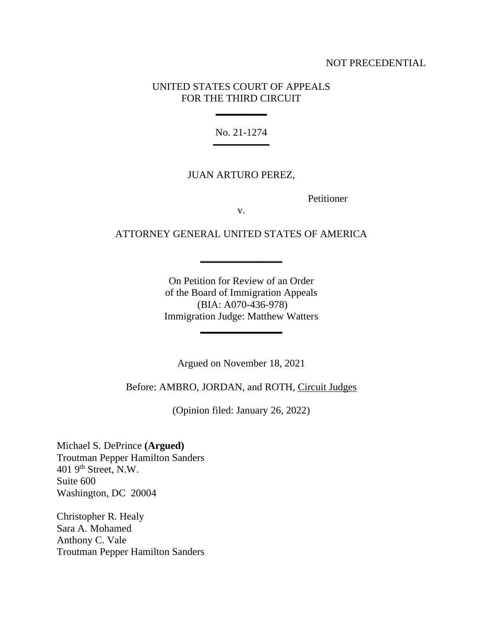#### NOT PRECEDENTIAL

### UNITED STATES COURT OF APPEALS FOR THE THIRD CIRCUIT

**\_\_\_\_\_\_\_\_\_\_**

No. 21-1274 **\_\_\_\_\_\_\_\_\_\_\_**

#### JUAN ARTURO PEREZ,

Petitioner

v.

# ATTORNEY GENERAL UNITED STATES OF AMERICA

**\_\_\_\_\_\_\_\_\_\_\_\_\_\_\_\_**

On Petition for Review of an Order of the Board of Immigration Appeals (BIA: A070-436-978) Immigration Judge: Matthew Watters

**\_\_\_\_\_\_\_\_\_\_\_\_\_\_\_\_**

Argued on November 18, 2021

Before: AMBRO, JORDAN, and ROTH, Circuit Judges

(Opinion filed: January 26, 2022)

Michael S. DePrince **(Argued)** Troutman Pepper Hamilton Sanders  $401$  9<sup>th</sup> Street, N.W. Suite 600 Washington, DC 20004

Christopher R. Healy Sara A. Mohamed Anthony C. Vale Troutman Pepper Hamilton Sanders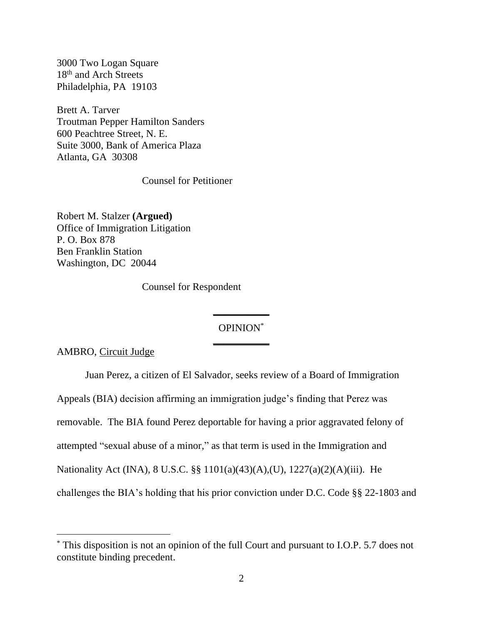3000 Two Logan Square 18<sup>th</sup> and Arch Streets Philadelphia, PA 19103

Brett A. Tarver Troutman Pepper Hamilton Sanders 600 Peachtree Street, N. E. Suite 3000, Bank of America Plaza Atlanta, GA 30308

Counsel for Petitioner

Robert M. Stalzer **(Argued)** Office of Immigration Litigation P. O. Box 878 Ben Franklin Station Washington, DC 20044

Counsel for Respondent

# OPINION\* **\_\_\_\_\_\_\_\_\_\_\_**

**\_\_\_\_\_\_\_\_\_\_\_**

AMBRO, Circuit Judge

Juan Perez, a citizen of El Salvador, seeks review of a Board of Immigration Appeals (BIA) decision affirming an immigration judge's finding that Perez was removable. The BIA found Perez deportable for having a prior aggravated felony of attempted "sexual abuse of a minor," as that term is used in the Immigration and Nationality Act (INA), 8 U.S.C. §§ 1101(a)(43)(A),(U), 1227(a)(2)(A)(iii). He challenges the BIA's holding that his prior conviction under D.C. Code §§ 22-1803 and

<sup>\*</sup> This disposition is not an opinion of the full Court and pursuant to I.O.P. 5.7 does not constitute binding precedent.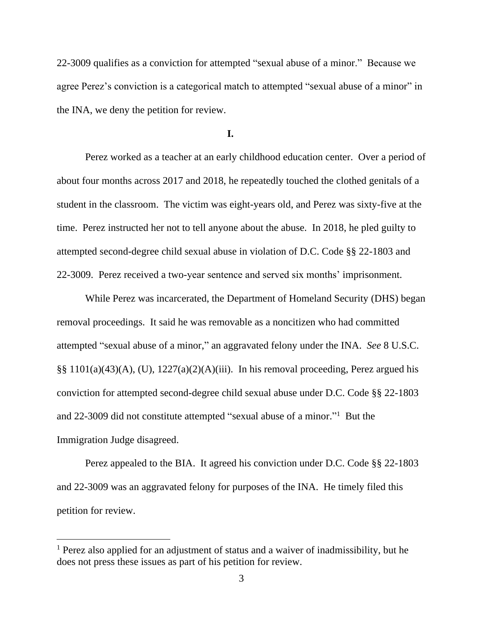22-3009 qualifies as a conviction for attempted "sexual abuse of a minor." Because we agree Perez's conviction is a categorical match to attempted "sexual abuse of a minor" in the INA, we deny the petition for review.

**I.**

Perez worked as a teacher at an early childhood education center. Over a period of about four months across 2017 and 2018, he repeatedly touched the clothed genitals of a student in the classroom. The victim was eight-years old, and Perez was sixty-five at the time. Perez instructed her not to tell anyone about the abuse. In 2018, he pled guilty to attempted second-degree child sexual abuse in violation of D.C. Code §§ 22-1803 and 22-3009. Perez received a two-year sentence and served six months' imprisonment.

While Perez was incarcerated, the Department of Homeland Security (DHS) began removal proceedings. It said he was removable as a noncitizen who had committed attempted "sexual abuse of a minor," an aggravated felony under the INA. *See* 8 U.S.C. §§ 1101(a)(43)(A), (U), 1227(a)(2)(A)(iii). In his removal proceeding, Perez argued his conviction for attempted second-degree child sexual abuse under D.C. Code §§ 22-1803 and 22-3009 did not constitute attempted "sexual abuse of a minor." 1 But the Immigration Judge disagreed.

Perez appealed to the BIA. It agreed his conviction under D.C. Code §§ 22-1803 and 22-3009 was an aggravated felony for purposes of the INA. He timely filed this petition for review.

<sup>&</sup>lt;sup>1</sup> Perez also applied for an adjustment of status and a waiver of inadmissibility, but he does not press these issues as part of his petition for review.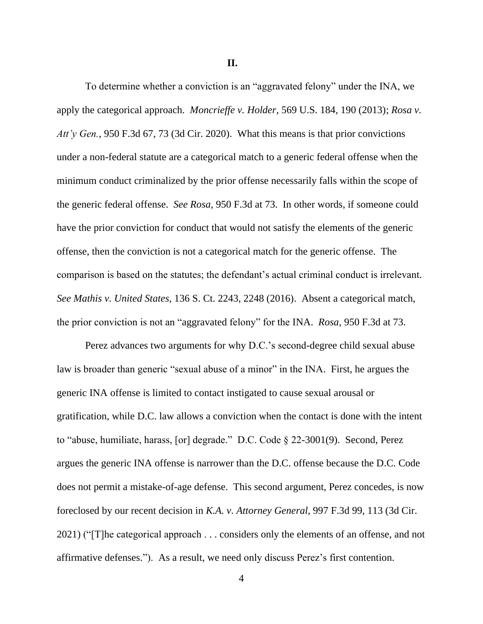**II.**

To determine whether a conviction is an "aggravated felony" under the INA, we apply the categorical approach. *Moncrieffe v. Holder*, 569 U.S. 184, 190 (2013); *Rosa v. Att'y Gen.*, 950 F.3d 67, 73 (3d Cir. 2020). What this means is that prior convictions under a non-federal statute are a categorical match to a generic federal offense when the minimum conduct criminalized by the prior offense necessarily falls within the scope of the generic federal offense. *See Rosa*, 950 F.3d at 73. In other words, if someone could have the prior conviction for conduct that would not satisfy the elements of the generic offense, then the conviction is not a categorical match for the generic offense. The comparison is based on the statutes; the defendant's actual criminal conduct is irrelevant. *See Mathis v. United States*, 136 S. Ct. 2243, 2248 (2016). Absent a categorical match, the prior conviction is not an "aggravated felony" for the INA. *Rosa*, 950 F.3d at 73.

Perez advances two arguments for why D.C.'s second-degree child sexual abuse law is broader than generic "sexual abuse of a minor" in the INA. First, he argues the generic INA offense is limited to contact instigated to cause sexual arousal or gratification, while D.C. law allows a conviction when the contact is done with the intent to "abuse, humiliate, harass, [or] degrade." D.C. Code § 22-3001(9). Second, Perez argues the generic INA offense is narrower than the D.C. offense because the D.C. Code does not permit a mistake-of-age defense. This second argument, Perez concedes, is now foreclosed by our recent decision in *K.A. v. Attorney General*, 997 F.3d 99, 113 (3d Cir. 2021) ("[T]he categorical approach . . . considers only the elements of an offense, and not affirmative defenses."). As a result, we need only discuss Perez's first contention.

4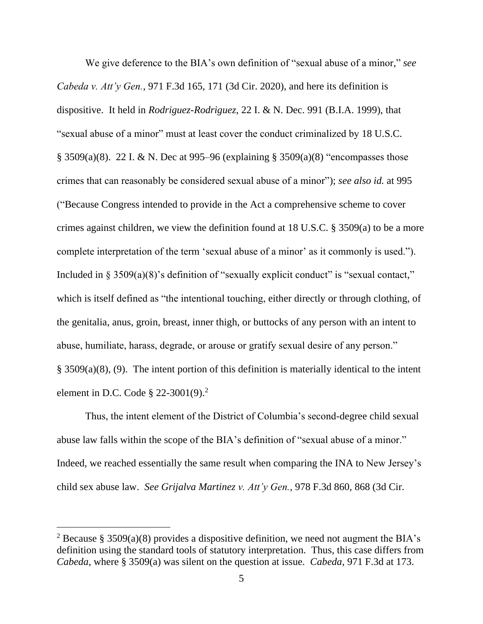We give deference to the BIA's own definition of "sexual abuse of a minor," *see Cabeda v. Att'y Gen.*, 971 F.3d 165, 171 (3d Cir. 2020), and here its definition is dispositive. It held in *Rodriguez-Rodriguez*, 22 I. & N. Dec. 991 (B.I.A. 1999), that "sexual abuse of a minor" must at least cover the conduct criminalized by 18 U.S.C. § 3509(a)(8). 22 I. & N. Dec at 995–96 (explaining § 3509(a)(8) "encompasses those crimes that can reasonably be considered sexual abuse of a minor"); *see also id.* at 995 ("Because Congress intended to provide in the Act a comprehensive scheme to cover crimes against children, we view the definition found at 18 U.S.C. § 3509(a) to be a more complete interpretation of the term 'sexual abuse of a minor' as it commonly is used."). Included in  $\S 3509(a)(8)$ 's definition of "sexually explicit conduct" is "sexual contact," which is itself defined as "the intentional touching, either directly or through clothing, of the genitalia, anus, groin, breast, inner thigh, or buttocks of any person with an intent to abuse, humiliate, harass, degrade, or arouse or gratify sexual desire of any person." § 3509(a)(8), (9). The intent portion of this definition is materially identical to the intent element in D.C. Code  $\S 22-3001(9)$ .<sup>2</sup>

Thus, the intent element of the District of Columbia's second-degree child sexual abuse law falls within the scope of the BIA's definition of "sexual abuse of a minor." Indeed, we reached essentially the same result when comparing the INA to New Jersey's child sex abuse law. *See Grijalva Martinez v. Att'y Gen.*, 978 F.3d 860, 868 (3d Cir.

<sup>&</sup>lt;sup>2</sup> Because § 3509(a)(8) provides a dispositive definition, we need not augment the BIA's definition using the standard tools of statutory interpretation. Thus, this case differs from *Cabeda*, where § 3509(a) was silent on the question at issue. *Cabeda*, 971 F.3d at 173.